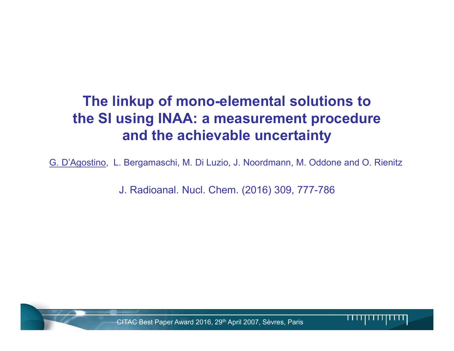# The linkup of mono-elemental solutions to the SI using INAA: a measurement procedure and the achievable uncertainty

G. D'Agostino, L. Bergamaschi, M. Di Luzio, J. Noordmann, M. Oddone and O. Rienitz

J. Radioanal. Nucl. Chem. (2016) 309, 777-786

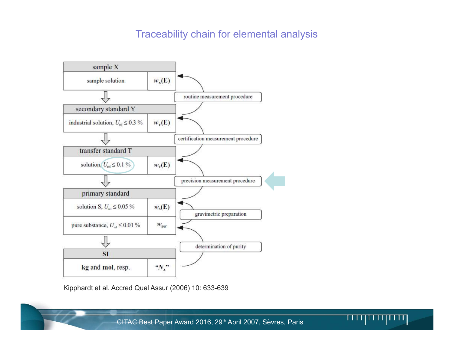## Traceability chain for elemental analysis



Kipphardt et al. Accred Qual Assur (2006) 10: 633-639

CITAC Best Paper Award 2016, 29<sup>th</sup> April 2007, Sèvres, Paris **INCE 18, 2014 INCE 18, 2014**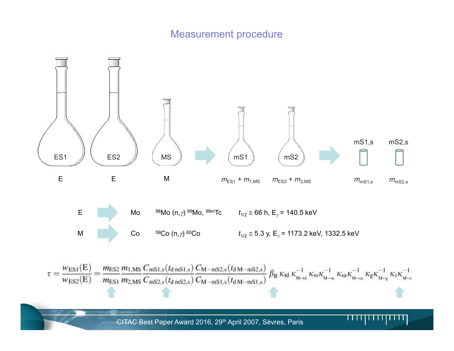# Measurement procedure

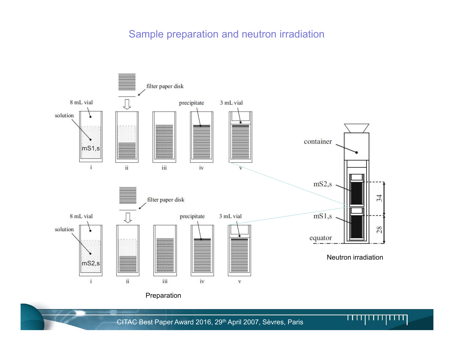### Sample preparation and neutron irradiation



CITAC Best Paper Award 2016, 29<sup>th</sup> April 2007, Sèvres, Paris **INRIM TURIN TURIN TURIN TURIN TURIN TURIN TURIN TU**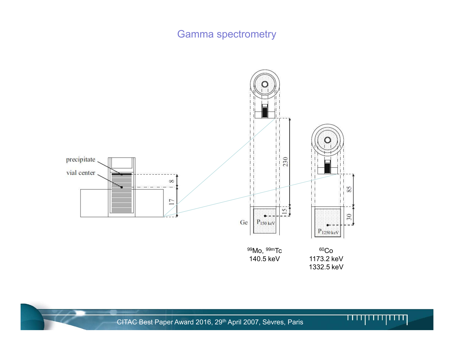# Gamma spectrometry





CITAC Best Paper Award 2016, 29<sup>th</sup> April 2007, Sèvres, Paris **INCE 18, 2014** INCE 18, 2014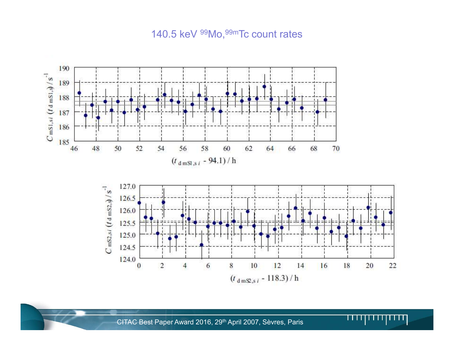#### 140.5 keV <sup>99</sup>Mo, <sup>99m</sup>Tc count rates

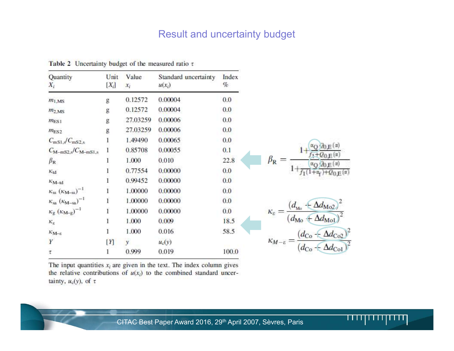### Result and uncertainty budget

| Quantity<br>$X_i$                                     | Unit<br>$[X_i]$ | Value<br>$x_i$ | Standard uncertainty<br>$u(x_i)$ | Index<br>$\%$ |                                                                                                                                            |
|-------------------------------------------------------|-----------------|----------------|----------------------------------|---------------|--------------------------------------------------------------------------------------------------------------------------------------------|
| $m_{1,MS}$                                            | g               | 0.12572        | 0.00004                          | 0.0           |                                                                                                                                            |
| $m_{2,MS}$                                            | g               | 0.12572        | 0.00004                          | 0.0           |                                                                                                                                            |
| $m_{ES1}$                                             | g               | 27.03259       | 0.00006                          | 0.0           |                                                                                                                                            |
| m <sub>ES2</sub>                                      | g               | 27.03259       | 0.00006                          | 0.0           |                                                                                                                                            |
| $C_{\rm mS1,s}/C_{\rm mS2,s}$                         |                 | 1.49490        | 0.00065                          | 0.0           |                                                                                                                                            |
| $C_{\text{M}-\text{mS2},s}/C_{\text{M}-\text{mS1},s}$ |                 | 0.85708        | 0.00055                          | 0.1           | $\alpha$ O so E $(\alpha)$                                                                                                                 |
| $\beta_{\rm R}$                                       |                 | 1.000          | 0.010                            | 22.8          | $f_1 + Q_{0,E}(x)$<br>$\beta_{\rm R} =$                                                                                                    |
| $\kappa_{\rm td}$                                     |                 | 0.77554        | 0.00000                          | 0.0           | $1+\frac{\alpha_{\text{O}}/2_{\text{O,E}}(\alpha)}{f_1(1+\alpha_{\text{f}})+Q_{\text{O,E}}(\alpha)}$                                       |
| $K_{\text{M--td}}$                                    |                 | 0.99452        | 0.00000                          | 0.0           |                                                                                                                                            |
| $\kappa_{ss}$ ( $\kappa_{M-ss}$ ) <sup>-1</sup>       |                 | 1.00000        | 0.00000                          | 0.0           |                                                                                                                                            |
| $\kappa_{\rm sa} (\kappa_{\rm M-sa})^{-1}$            | 1               | 1.00000        | 0.00000                          | 0.0           |                                                                                                                                            |
| $\kappa_{\rm g}$ $(\kappa_{\rm M-g})^{-1}$            | $\bf{1}$        | 1.00000        | 0.00000                          | 0.0           | $\kappa_{\varepsilon} = \frac{\left(d_{\text{Mo}} + \Delta d_{\text{Mo2}}\right)^2}{\left(d_{\text{Mo}} + \Delta d_{\text{Mo1}}\right)^2}$ |
| $K_{\scriptscriptstyle\rm E}$                         | 1               | 1.000          | 0.009                            | 18.5          |                                                                                                                                            |
| $\kappa_{{\rm M}-\varepsilon}$                        | 1               | 1.000          | 0.016                            | 58.5          | $\kappa_{M-\varepsilon} = \frac{(d_{\text{Co}} - \Delta d_{\text{Co2}})^2}{(d_{\text{Co}} - \Delta d_{\text{Co}})^2}$                      |
| Y                                                     | [Y]             | V.             | $u_c(y)$                         |               |                                                                                                                                            |
| $\tau$                                                | 1               | 0.999          | 0.019                            | 100.0         |                                                                                                                                            |

Table 2 Uncertainty budget of the measured ratio  $\tau$ 

The input quantities  $x_i$  are given in the text. The index column gives the relative contributions of  $u(x_i)$  to the combined standard uncertainty,  $u_c(y)$ , of  $\tau$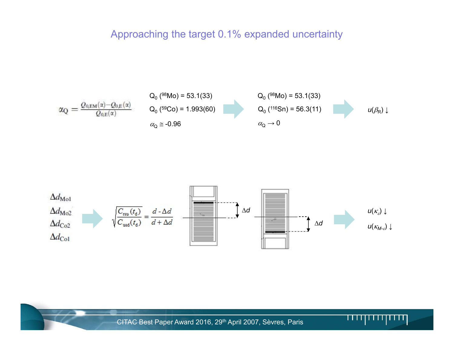#### Approaching the target 0.1% expanded uncertainty